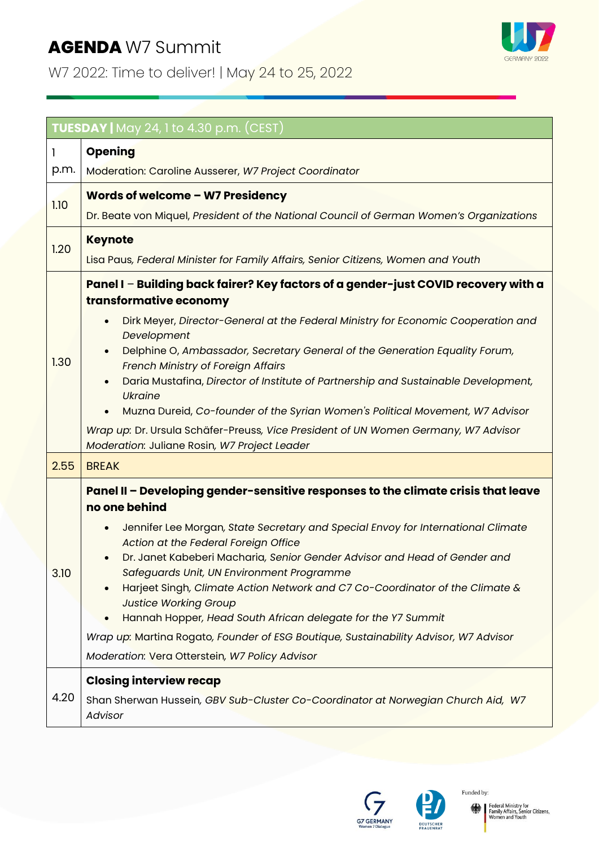## **AGENDA** W7 Summit

W7 2022: Time to deliver! | May 24 to 25, 2022



| <b>TUESDAY</b>   May 24, 1 to 4.30 p.m. (CEST) |                                                                                                                                                                                                                                                                                                                                                                                                                                                                                                                                                                                                                                                                                    |  |
|------------------------------------------------|------------------------------------------------------------------------------------------------------------------------------------------------------------------------------------------------------------------------------------------------------------------------------------------------------------------------------------------------------------------------------------------------------------------------------------------------------------------------------------------------------------------------------------------------------------------------------------------------------------------------------------------------------------------------------------|--|
| 1                                              | Opening                                                                                                                                                                                                                                                                                                                                                                                                                                                                                                                                                                                                                                                                            |  |
| p.m.                                           | Moderation: Caroline Ausserer, W7 Project Coordinator                                                                                                                                                                                                                                                                                                                                                                                                                                                                                                                                                                                                                              |  |
| 1.10                                           | Words of welcome - W7 Presidency                                                                                                                                                                                                                                                                                                                                                                                                                                                                                                                                                                                                                                                   |  |
|                                                | Dr. Beate von Miquel, President of the National Council of German Women's Organizations                                                                                                                                                                                                                                                                                                                                                                                                                                                                                                                                                                                            |  |
| 1.20                                           | <b>Keynote</b>                                                                                                                                                                                                                                                                                                                                                                                                                                                                                                                                                                                                                                                                     |  |
|                                                | Lisa Paus, Federal Minister for Family Affairs, Senior Citizens, Women and Youth                                                                                                                                                                                                                                                                                                                                                                                                                                                                                                                                                                                                   |  |
| 1.30                                           | Panel I - Building back fairer? Key factors of a gender-just COVID recovery with a<br>transformative economy<br>Dirk Meyer, Director-General at the Federal Ministry for Economic Cooperation and<br>Development<br>Delphine O, Ambassador, Secretary General of the Generation Equality Forum,<br>French Ministry of Foreign Affairs<br>Daria Mustafina, Director of Institute of Partnership and Sustainable Development,<br><b>Ukraine</b><br>Muzna Dureid, Co-founder of the Syrian Women's Political Movement, W7 Advisor<br>Wrap up: Dr. Ursula Schäfer-Preuss, Vice President of UN Women Germany, W7 Advisor<br>Moderation: Juliane Rosin, W7 Project Leader               |  |
| 2.55                                           | <b>BREAK</b>                                                                                                                                                                                                                                                                                                                                                                                                                                                                                                                                                                                                                                                                       |  |
| 3.10                                           | Panel II - Developing gender-sensitive responses to the climate crisis that leave<br>no one behind<br>Jennifer Lee Morgan, State Secretary and Special Envoy for International Climate<br>Action at the Federal Foreign Office<br>Dr. Janet Kabeberi Macharia, Senior Gender Advisor and Head of Gender and<br>Safeguards Unit, UN Environment Programme<br>Harjeet Singh, Climate Action Network and C7 Co-Coordinator of the Climate &<br><b>Justice Working Group</b><br>Hannah Hopper, Head South African delegate for the Y7 Summit<br>Wrap up: Martina Rogato, Founder of ESG Boutique, Sustainability Advisor, W7 Advisor<br>Moderation: Vera Otterstein, W7 Policy Advisor |  |
| 4.20                                           | <b>Closing interview recap</b><br>Shan Sherwan Hussein, GBV Sub-Cluster Co-Coordinator at Norwegian Church Aid, W7<br>Advisor                                                                                                                                                                                                                                                                                                                                                                                                                                                                                                                                                      |  |





Funded by: